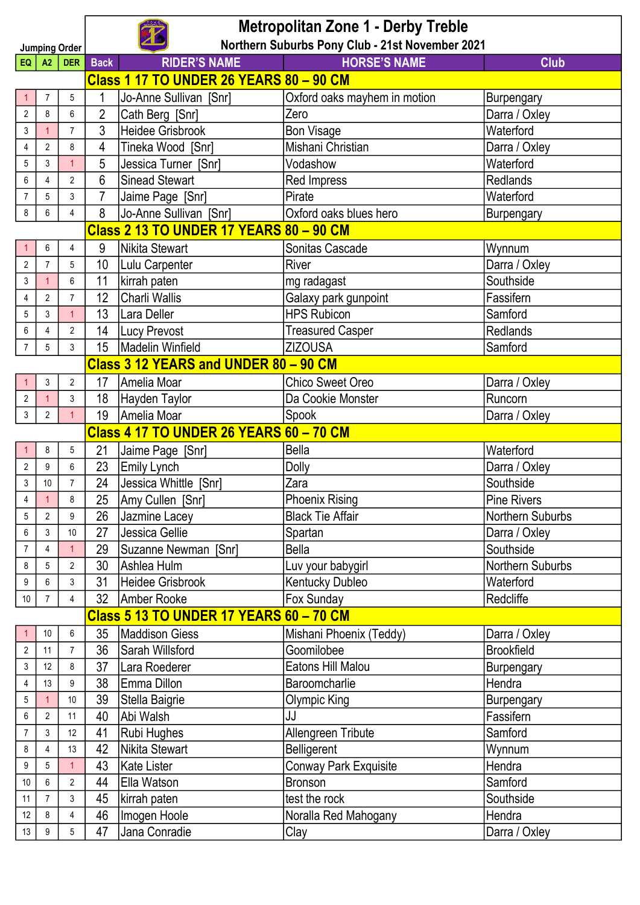| <b>Jumping Order</b>    |                                                | <b>Metropolitan Zone 1 - Derby Treble</b><br>Northern Suburbs Pony Club - 21st November 2021 |                                                           |                                                |                                |                    |  |  |
|-------------------------|------------------------------------------------|----------------------------------------------------------------------------------------------|-----------------------------------------------------------|------------------------------------------------|--------------------------------|--------------------|--|--|
| EQ                      | <b>DER</b><br>A2                               |                                                                                              | <b>HORSE'S NAME</b><br><b>RIDER'S NAME</b><br><b>Back</b> |                                                |                                | Club               |  |  |
|                         | <b>Class 1 17 TO UNDER 26 YEARS 80 - 90 CM</b> |                                                                                              |                                                           |                                                |                                |                    |  |  |
|                         | $\overline{7}$                                 | 5                                                                                            | 1                                                         | Jo-Anne Sullivan [Snr]                         | Oxford oaks mayhem in motion   | Burpengary         |  |  |
| $\overline{2}$          | 8                                              | $6\phantom{a}$                                                                               | $\overline{2}$                                            | Cath Berg [Snr]                                | Zero                           | Darra / Oxley      |  |  |
| 3                       | $\mathbf{1}$                                   | $\overline{7}$                                                                               | 3                                                         | <b>Heidee Grisbrook</b>                        | <b>Bon Visage</b>              | Waterford          |  |  |
| 4                       | $\overline{2}$                                 | 8                                                                                            | 4                                                         | Tineka Wood [Snr]                              | Mishani Christian              | Darra / Oxley      |  |  |
| 5                       | 3                                              | $\mathbf{1}$                                                                                 | 5                                                         | Jessica Turner [Snr]                           | Vodashow                       | Waterford          |  |  |
| 6                       | 4                                              | $\overline{2}$                                                                               | 6                                                         | <b>Sinead Stewart</b>                          | Red Impress                    | Redlands           |  |  |
| $\overline{7}$          | 5                                              | 3                                                                                            | $\overline{7}$                                            | Jaime Page [Snr]                               | Pirate                         | Waterford          |  |  |
| 8                       | 6                                              | 4                                                                                            | 8                                                         | Jo-Anne Sullivan [Snr]                         | Oxford oaks blues hero         | Burpengary         |  |  |
|                         |                                                |                                                                                              |                                                           | <b>Class 2 13 TO UNDER 17 YEARS 80 - 90 CM</b> |                                |                    |  |  |
|                         | 6                                              | 4                                                                                            | 9                                                         | Nikita Stewart                                 | Sonitas Cascade                | Wynnum             |  |  |
| 2                       | $\overline{7}$                                 | 5                                                                                            | 10                                                        | Lulu Carpenter                                 | <b>River</b>                   | Darra / Oxley      |  |  |
| 3                       | $\mathbf{1}$                                   | 6                                                                                            | 11                                                        | kirrah paten                                   | mg radagast                    | Southside          |  |  |
| 4                       | $\overline{2}$                                 | $\overline{7}$                                                                               | 12                                                        | <b>Charli Wallis</b>                           | Galaxy park gunpoint           | Fassifern          |  |  |
| 5                       | 3                                              | $\mathbf{1}$                                                                                 | 13                                                        | Lara Deller                                    | <b>HPS Rubicon</b>             | Samford            |  |  |
| 6                       | $\overline{4}$                                 | $\overline{2}$                                                                               | 14                                                        | Lucy Prevost                                   | <b>Treasured Casper</b>        | <b>Redlands</b>    |  |  |
| $\overline{7}$          | 5                                              | 3                                                                                            | <b>ZIZOUSA</b><br><b>Madelin Winfield</b><br>15           |                                                |                                | Samford            |  |  |
|                         |                                                |                                                                                              |                                                           | Class 3 12 YEARS and UNDER 80 - 90 CM          |                                |                    |  |  |
|                         | 3<br>$\overline{2}$                            |                                                                                              | 17                                                        | Amelia Moar                                    | <b>Chico Sweet Oreo</b>        | Darra / Oxley      |  |  |
| $\overline{\mathbf{c}}$ | $\mathbf{1}$                                   | 3                                                                                            | 18                                                        | Hayden Taylor                                  | Da Cookie Monster              | Runcorn            |  |  |
| 3                       | $\overline{2}$                                 | $\overline{1}$                                                                               | 19                                                        | Amelia Moar                                    | Spook                          | Darra / Oxley      |  |  |
|                         |                                                |                                                                                              |                                                           | <b>Class 4 17 TO UNDER 26 YEARS 60 - 70 CM</b> |                                |                    |  |  |
|                         | 8<br>5                                         |                                                                                              | 21<br>Jaime Page [Snr]                                    |                                                | <b>Bella</b>                   | Waterford          |  |  |
| 2                       | 9                                              | 6                                                                                            | 23                                                        | Emily Lynch                                    | Dolly                          | Darra / Oxley      |  |  |
| 3                       | 10                                             | $\overline{7}$                                                                               | 24                                                        | Jessica Whittle [Snr]                          | Zara                           | Southside          |  |  |
| 4                       | $\overline{1}$                                 | 8                                                                                            | 25                                                        | Amy Cullen [Snr]                               | <b>Phoenix Rising</b>          | <b>Pine Rivers</b> |  |  |
| 5                       | $\overline{2}$                                 | 9                                                                                            | 26                                                        | Jazmine Lacey                                  | <b>Black Tie Affair</b>        | Northern Suburbs   |  |  |
| 6                       | 3                                              | $10$                                                                                         | 27                                                        | Jessica Gellie                                 | Spartan                        | Darra / Oxley      |  |  |
| $\overline{7}$          | 4                                              | $\mathbf{1}$                                                                                 | 29                                                        | Suzanne Newman [Snr]                           | <b>Bella</b>                   | Southside          |  |  |
| 8                       | 5                                              | $\overline{2}$                                                                               | 30                                                        | Ashlea Hulm                                    | Luv your babygirl              | Northern Suburbs   |  |  |
| 9                       | 6                                              | 3                                                                                            | 31                                                        | <b>Heidee Grisbrook</b>                        | Kentucky Dubleo                | Waterford          |  |  |
| $10$                    | 32 <sup>2</sup><br>4<br>7                      |                                                                                              |                                                           | Amber Rooke                                    | Fox Sunday                     | Redcliffe          |  |  |
|                         |                                                |                                                                                              |                                                           | Class 5 13 TO UNDER 17 YEARS 60 - 70 CM        |                                |                    |  |  |
|                         | $10$                                           | 6                                                                                            | 35                                                        | Maddison Giess                                 | Mishani Phoenix (Teddy)        | Darra / Oxley      |  |  |
| $\overline{c}$          | 11                                             | 7                                                                                            | 36                                                        | Sarah Willsford                                | Goomilobee                     | <b>Brookfield</b>  |  |  |
| 3                       | 12                                             | 8                                                                                            | 37                                                        | Lara Roederer                                  | Eatons Hill Malou              | Burpengary         |  |  |
| 4                       | 13                                             | 9                                                                                            | 38                                                        | Emma Dillon                                    | Baroomcharlie                  | Hendra             |  |  |
| 5                       | $\mathbf{1}$                                   | 10                                                                                           | 39                                                        | Stella Baigrie                                 | Olympic King                   | Burpengary         |  |  |
| 6                       | $\overline{2}$                                 | 11                                                                                           | 40                                                        | Abi Walsh                                      | JJ                             | Fassifern          |  |  |
| $\overline{7}$          | 3                                              | 12                                                                                           | 41                                                        | Rubi Hughes                                    | Allengreen Tribute<br>Samford  |                    |  |  |
| 8                       | 4                                              | 13                                                                                           | 42                                                        | Nikita Stewart                                 | Belligerent<br>Wynnum          |                    |  |  |
| 9                       | 5                                              |                                                                                              | 43                                                        | <b>Kate Lister</b>                             | <b>Conway Park Exquisite</b>   | Hendra             |  |  |
| 10                      | 6                                              | $\overline{c}$                                                                               | 44                                                        | Ella Watson                                    | <b>Bronson</b>                 | Samford            |  |  |
| 11                      | $\overline{7}$                                 | 3                                                                                            | 45                                                        | kirrah paten                                   | test the rock                  | Southside          |  |  |
| 12                      | 8                                              | 4                                                                                            | 46                                                        | Imogen Hoole                                   | Hendra<br>Noralla Red Mahogany |                    |  |  |
| 13                      | 9                                              | 5                                                                                            | 47                                                        | Jana Conradie                                  | Clay<br>Darra / Oxley          |                    |  |  |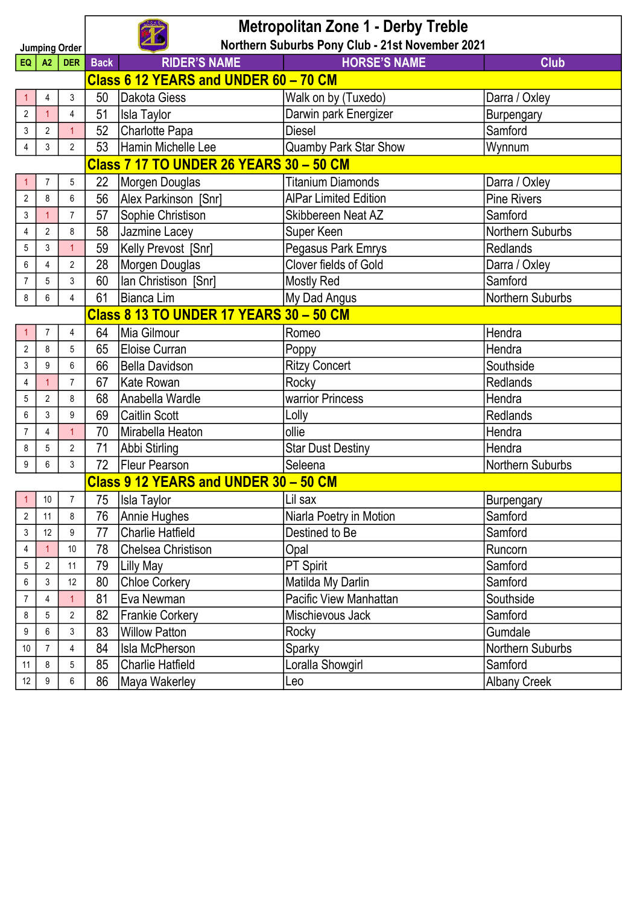| <b>Metropolitan Zone 1 - Derby Treble</b><br>Northern Suburbs Pony Club - 21st November 2021 |                                                                                                                                        |                |                                                                |                                       |                              |                     |  |  |
|----------------------------------------------------------------------------------------------|----------------------------------------------------------------------------------------------------------------------------------------|----------------|----------------------------------------------------------------|---------------------------------------|------------------------------|---------------------|--|--|
| <b>Jumping Order</b>                                                                         |                                                                                                                                        |                |                                                                |                                       |                              |                     |  |  |
|                                                                                              | <b>RIDER'S NAME</b><br><b>HORSE'S NAME</b><br><b>Back</b><br><b>Club</b><br>A2<br>DER  <br>EQ<br>Class 6 12 YEARS and UNDER 60 - 70 CM |                |                                                                |                                       |                              |                     |  |  |
|                                                                                              |                                                                                                                                        |                |                                                                |                                       |                              |                     |  |  |
|                                                                                              | 4                                                                                                                                      | 3              | 50                                                             | Dakota Giess                          | Walk on by (Tuxedo)          | Darra / Oxley       |  |  |
| $\sqrt{2}$                                                                                   | $\overline{1}$                                                                                                                         | $\overline{4}$ | 51                                                             | <b>Isla Taylor</b>                    | Darwin park Energizer        | Burpengary          |  |  |
| 3                                                                                            | $\overline{2}$                                                                                                                         | $\mathbf{1}$   | 52                                                             | Charlotte Papa                        | <b>Diesel</b>                | Samford             |  |  |
|                                                                                              | Hamin Michelle Lee<br>Quamby Park Star Show<br>3<br>$\overline{2}$<br>53<br>Wynnum<br>$\pmb{4}$                                        |                |                                                                |                                       |                              |                     |  |  |
| Class 7 17 TO UNDER 26 YEARS 30 - 50 CM                                                      |                                                                                                                                        |                |                                                                |                                       |                              |                     |  |  |
|                                                                                              | 7                                                                                                                                      | 5              | 22                                                             | Morgen Douglas                        | <b>Titanium Diamonds</b>     | Darra / Oxley       |  |  |
| $\sqrt{2}$                                                                                   | 8                                                                                                                                      | 6              | 56                                                             | Alex Parkinson [Snr]                  | <b>AlPar Limited Edition</b> | <b>Pine Rivers</b>  |  |  |
| 3                                                                                            | $\mathbf{1}$                                                                                                                           | $\overline{7}$ | 57                                                             | Sophie Christison                     | Skibbereen Neat AZ           | Samford             |  |  |
| 4                                                                                            | $\overline{2}$                                                                                                                         | 8              | 58                                                             | Jazmine Lacey                         | Super Keen                   | Northern Suburbs    |  |  |
| 5                                                                                            | 3                                                                                                                                      | $\mathbf{1}$   | 59                                                             | Kelly Prevost [Snr]                   | Pegasus Park Emrys           | <b>Redlands</b>     |  |  |
| 6                                                                                            | 4                                                                                                                                      | $\overline{2}$ | Clover fields of Gold<br>Morgen Douglas<br>28<br>Darra / Oxley |                                       |                              |                     |  |  |
| $\overline{7}$                                                                               | 5                                                                                                                                      | 3              | 60                                                             | Ian Christison [Snr]                  | Mostly Red                   | Samford             |  |  |
| $\bf 8$                                                                                      | 6                                                                                                                                      | 4              | My Dad Angus<br>61<br>Bianca Lim<br>Northern Suburbs           |                                       |                              |                     |  |  |
|                                                                                              | <b>Class 8 13 TO UNDER 17 YEARS 30 - 50 CM</b>                                                                                         |                |                                                                |                                       |                              |                     |  |  |
|                                                                                              | $\overline{7}$                                                                                                                         | $\overline{4}$ | 64                                                             | Mia Gilmour                           | Romeo                        | Hendra              |  |  |
| $\overline{c}$                                                                               | 8                                                                                                                                      | 5              | 65                                                             | Eloise Curran                         | Poppy                        | Hendra              |  |  |
| 3                                                                                            | $\boldsymbol{9}$                                                                                                                       | $6\phantom{a}$ | 66                                                             | Bella Davidson                        | <b>Ritzy Concert</b>         | Southside           |  |  |
| $\pmb{4}$                                                                                    | $\mathbf{1}$                                                                                                                           | $\overline{7}$ | 67                                                             | <b>Kate Rowan</b>                     | Rocky                        | <b>Redlands</b>     |  |  |
| 5                                                                                            | $\overline{2}$                                                                                                                         | 8              | 68                                                             | Anabella Wardle                       | warrior Princess             | Hendra              |  |  |
| 6                                                                                            | 3                                                                                                                                      | 9              | 69                                                             | <b>Caitlin Scott</b>                  | Lolly                        | <b>Redlands</b>     |  |  |
| $\overline{7}$                                                                               | 4                                                                                                                                      | $\mathbf{1}$   | 70                                                             | Mirabella Heaton                      | ollie                        | Hendra              |  |  |
| 8                                                                                            | 5                                                                                                                                      | $\overline{2}$ | 71                                                             | Abbi Stirling                         | <b>Star Dust Destiny</b>     | Hendra              |  |  |
| $\boldsymbol{9}$                                                                             | 6                                                                                                                                      | 3              | 72                                                             | <b>Fleur Pearson</b>                  | Seleena                      | Northern Suburbs    |  |  |
|                                                                                              |                                                                                                                                        |                |                                                                | Class 9 12 YEARS and UNDER 30 - 50 CM |                              |                     |  |  |
|                                                                                              | 10                                                                                                                                     | $\overline{7}$ | 75                                                             | Isla Taylor                           | Lil sax                      | Burpengary          |  |  |
| $\overline{2}$                                                                               | 11                                                                                                                                     | 8              | 76                                                             | Annie Hughes                          | Niarla Poetry in Motion      | Samford             |  |  |
| 3                                                                                            | 12                                                                                                                                     | 9              | 77<br><b>Charlie Hatfield</b>                                  |                                       | Destined to Be               | Samford             |  |  |
| 4                                                                                            | $\mathbf{1}$                                                                                                                           | 10             | 78                                                             | Chelsea Christison                    | Opal                         | Runcorn             |  |  |
| 5                                                                                            | $\overline{2}$                                                                                                                         | 11             | 79                                                             | <b>Lilly May</b>                      | PT Spirit                    | Samford             |  |  |
| 6                                                                                            | 3                                                                                                                                      | 12             | 80                                                             | <b>Chloe Corkery</b>                  | Matilda My Darlin            | Samford             |  |  |
| 7                                                                                            | 4                                                                                                                                      |                | 81                                                             | Eva Newman                            | Pacific View Manhattan       | Southside           |  |  |
| 8                                                                                            | 5                                                                                                                                      | $\overline{2}$ | 82                                                             | <b>Frankie Corkery</b>                | Mischievous Jack<br>Samford  |                     |  |  |
| 9                                                                                            | 6                                                                                                                                      | 3              | 83                                                             | <b>Willow Patton</b>                  | Rocky                        | Gumdale             |  |  |
| 10                                                                                           | $\overline{7}$                                                                                                                         | $\overline{4}$ | 84                                                             | <b>Isla McPherson</b>                 | Sparky                       | Northern Suburbs    |  |  |
| 11                                                                                           | 8                                                                                                                                      | 5              | 85                                                             | <b>Charlie Hatfield</b>               | Loralla Showgirl             | Samford             |  |  |
| 12                                                                                           | 9                                                                                                                                      | 6              | 86                                                             | Maya Wakerley                         | Leo                          | <b>Albany Creek</b> |  |  |